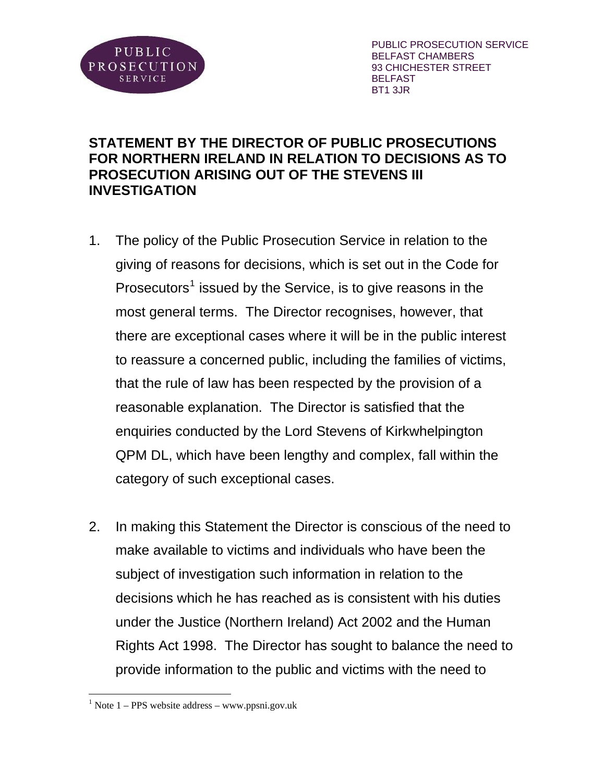

PUBLIC PROSECUTION SERVICE BELFAST CHAMBERS 93 CHICHESTER STREET BELFAST BT1 3JR

## **STATEMENT BY THE DIRECTOR OF PUBLIC PROSECUTIONS FOR NORTHERN IRELAND IN RELATION TO DECISIONS AS TO PROSECUTION ARISING OUT OF THE STEVENS III INVESTIGATION**

- 1. The policy of the Public Prosecution Service in relation to the giving of reasons for decisions, which is set out in the Code for Prosecutors<sup>[1](#page-0-0)</sup> issued by the Service, is to give reasons in the most general terms. The Director recognises, however, that there are exceptional cases where it will be in the public interest to reassure a concerned public, including the families of victims, that the rule of law has been respected by the provision of a reasonable explanation. The Director is satisfied that the enquiries conducted by the Lord Stevens of Kirkwhelpington QPM DL, which have been lengthy and complex, fall within the category of such exceptional cases.
- 2. In making this Statement the Director is conscious of the need to make available to victims and individuals who have been the subject of investigation such information in relation to the decisions which he has reached as is consistent with his duties under the Justice (Northern Ireland) Act 2002 and the Human Rights Act 1998. The Director has sought to balance the need to provide information to the public and victims with the need to

 $\overline{a}$ 

<span id="page-0-0"></span> $1$  Note  $1$  – PPS website address – www.ppsni.gov.uk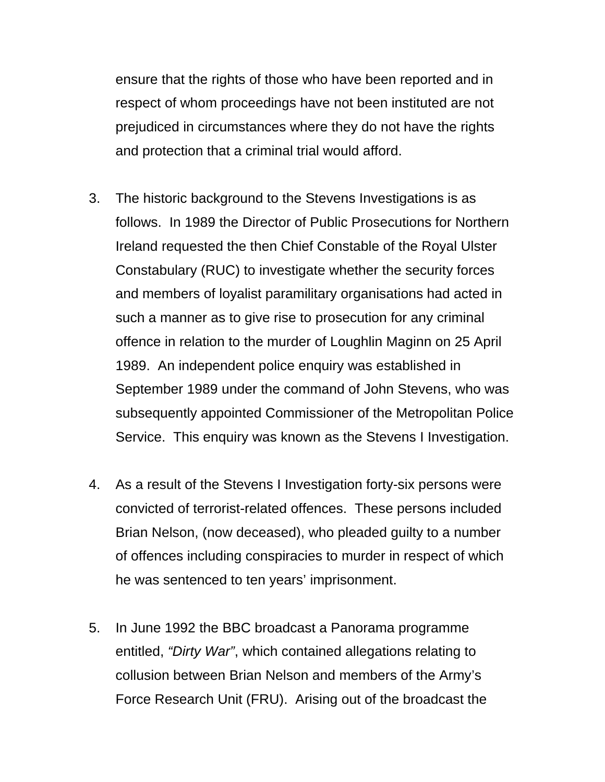ensure that the rights of those who have been reported and in respect of whom proceedings have not been instituted are not prejudiced in circumstances where they do not have the rights and protection that a criminal trial would afford.

- 3. The historic background to the Stevens Investigations is as follows. In 1989 the Director of Public Prosecutions for Northern Ireland requested the then Chief Constable of the Royal Ulster Constabulary (RUC) to investigate whether the security forces and members of loyalist paramilitary organisations had acted in such a manner as to give rise to prosecution for any criminal offence in relation to the murder of Loughlin Maginn on 25 April 1989. An independent police enquiry was established in September 1989 under the command of John Stevens, who was subsequently appointed Commissioner of the Metropolitan Police Service. This enquiry was known as the Stevens I Investigation.
- 4. As a result of the Stevens I Investigation forty-six persons were convicted of terrorist-related offences. These persons included Brian Nelson, (now deceased), who pleaded guilty to a number of offences including conspiracies to murder in respect of which he was sentenced to ten years' imprisonment.
- 5. In June 1992 the BBC broadcast a Panorama programme entitled, *"Dirty War"*, which contained allegations relating to collusion between Brian Nelson and members of the Army's Force Research Unit (FRU). Arising out of the broadcast the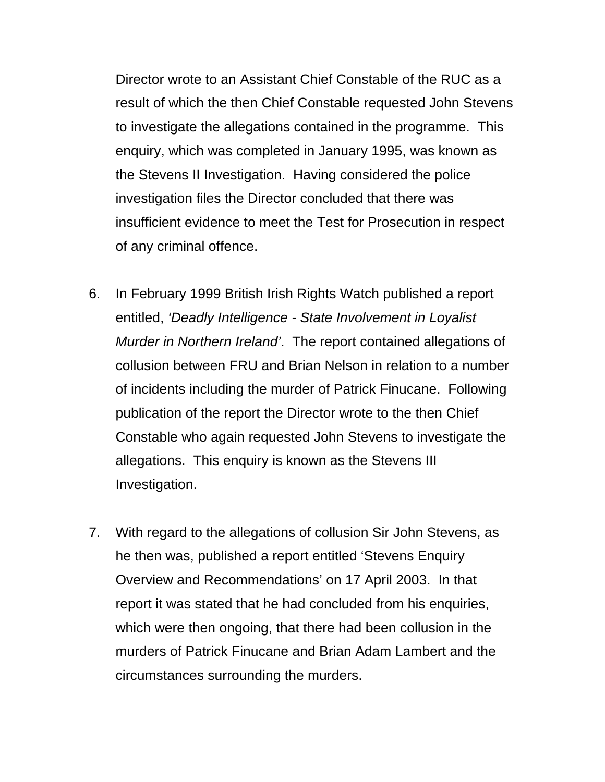Director wrote to an Assistant Chief Constable of the RUC as a result of which the then Chief Constable requested John Stevens to investigate the allegations contained in the programme. This enquiry, which was completed in January 1995, was known as the Stevens II Investigation. Having considered the police investigation files the Director concluded that there was insufficient evidence to meet the Test for Prosecution in respect of any criminal offence.

- 6. In February 1999 British Irish Rights Watch published a report entitled, *'Deadly Intelligence - State Involvement in Loyalist Murder in Northern Ireland'*. The report contained allegations of collusion between FRU and Brian Nelson in relation to a number of incidents including the murder of Patrick Finucane. Following publication of the report the Director wrote to the then Chief Constable who again requested John Stevens to investigate the allegations. This enquiry is known as the Stevens III Investigation.
- 7. With regard to the allegations of collusion Sir John Stevens, as he then was, published a report entitled 'Stevens Enquiry Overview and Recommendations' on 17 April 2003. In that report it was stated that he had concluded from his enquiries, which were then ongoing, that there had been collusion in the murders of Patrick Finucane and Brian Adam Lambert and the circumstances surrounding the murders.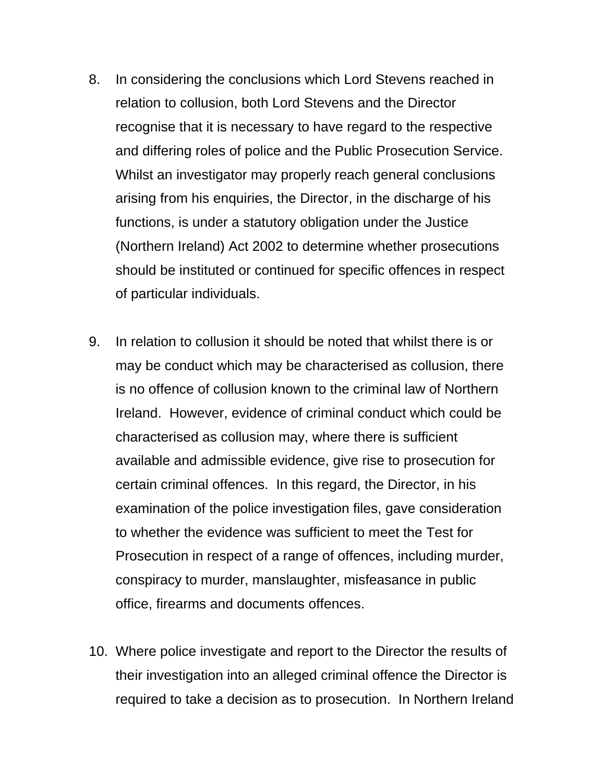- 8. In considering the conclusions which Lord Stevens reached in relation to collusion, both Lord Stevens and the Director recognise that it is necessary to have regard to the respective and differing roles of police and the Public Prosecution Service. Whilst an investigator may properly reach general conclusions arising from his enquiries, the Director, in the discharge of his functions, is under a statutory obligation under the Justice (Northern Ireland) Act 2002 to determine whether prosecutions should be instituted or continued for specific offences in respect of particular individuals.
- 9. In relation to collusion it should be noted that whilst there is or may be conduct which may be characterised as collusion, there is no offence of collusion known to the criminal law of Northern Ireland. However, evidence of criminal conduct which could be characterised as collusion may, where there is sufficient available and admissible evidence, give rise to prosecution for certain criminal offences. In this regard, the Director, in his examination of the police investigation files, gave consideration to whether the evidence was sufficient to meet the Test for Prosecution in respect of a range of offences, including murder, conspiracy to murder, manslaughter, misfeasance in public office, firearms and documents offences.
- 10. Where police investigate and report to the Director the results of their investigation into an alleged criminal offence the Director is required to take a decision as to prosecution. In Northern Ireland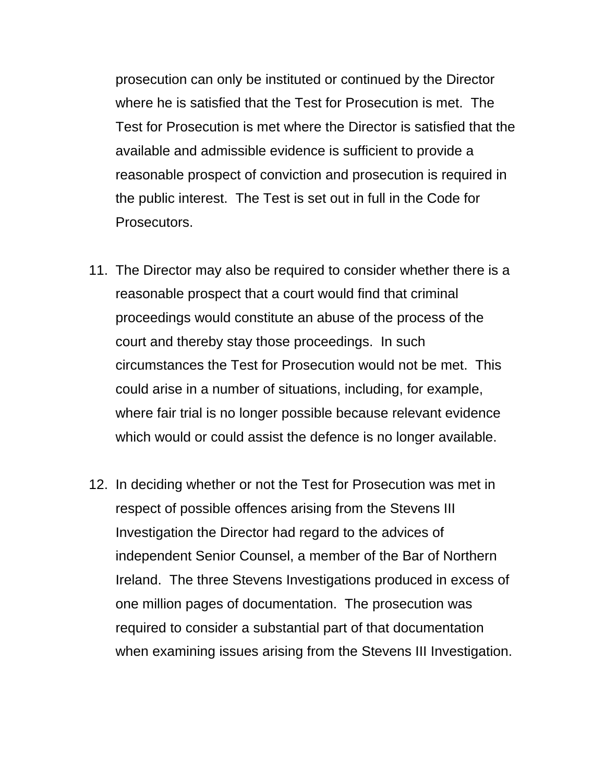prosecution can only be instituted or continued by the Director where he is satisfied that the Test for Prosecution is met. The Test for Prosecution is met where the Director is satisfied that the available and admissible evidence is sufficient to provide a reasonable prospect of conviction and prosecution is required in the public interest. The Test is set out in full in the Code for Prosecutors.

- 11. The Director may also be required to consider whether there is a reasonable prospect that a court would find that criminal proceedings would constitute an abuse of the process of the court and thereby stay those proceedings. In such circumstances the Test for Prosecution would not be met. This could arise in a number of situations, including, for example, where fair trial is no longer possible because relevant evidence which would or could assist the defence is no longer available.
- 12. In deciding whether or not the Test for Prosecution was met in respect of possible offences arising from the Stevens III Investigation the Director had regard to the advices of independent Senior Counsel, a member of the Bar of Northern Ireland. The three Stevens Investigations produced in excess of one million pages of documentation. The prosecution was required to consider a substantial part of that documentation when examining issues arising from the Stevens III Investigation.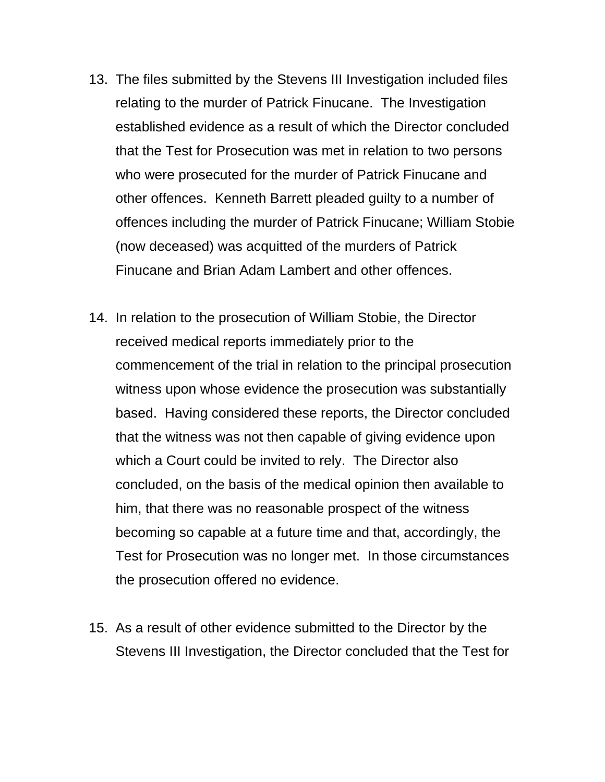- 13. The files submitted by the Stevens III Investigation included files relating to the murder of Patrick Finucane. The Investigation established evidence as a result of which the Director concluded that the Test for Prosecution was met in relation to two persons who were prosecuted for the murder of Patrick Finucane and other offences. Kenneth Barrett pleaded guilty to a number of offences including the murder of Patrick Finucane; William Stobie (now deceased) was acquitted of the murders of Patrick Finucane and Brian Adam Lambert and other offences.
- 14. In relation to the prosecution of William Stobie, the Director received medical reports immediately prior to the commencement of the trial in relation to the principal prosecution witness upon whose evidence the prosecution was substantially based. Having considered these reports, the Director concluded that the witness was not then capable of giving evidence upon which a Court could be invited to rely. The Director also concluded, on the basis of the medical opinion then available to him, that there was no reasonable prospect of the witness becoming so capable at a future time and that, accordingly, the Test for Prosecution was no longer met. In those circumstances the prosecution offered no evidence.
- 15. As a result of other evidence submitted to the Director by the Stevens III Investigation, the Director concluded that the Test for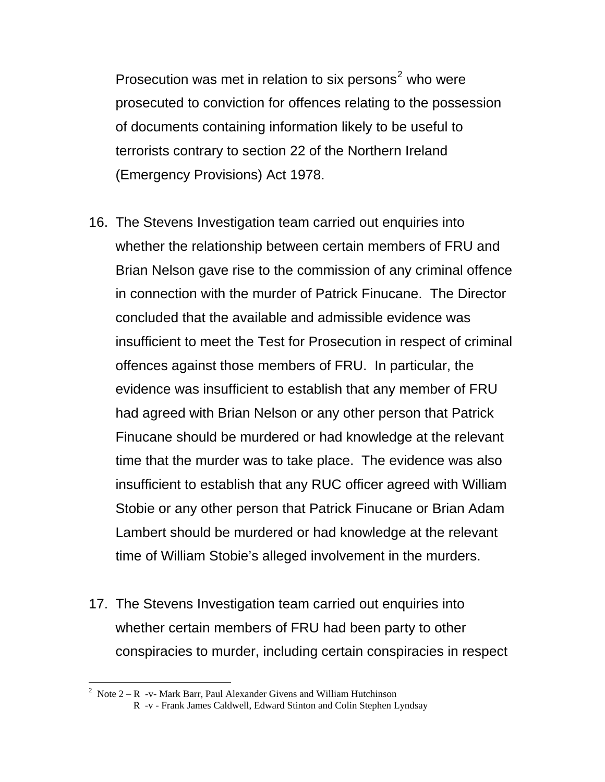Prosecution was met in relation to six persons<sup>[2](#page-6-0)</sup> who were prosecuted to conviction for offences relating to the possession of documents containing information likely to be useful to terrorists contrary to section 22 of the Northern Ireland (Emergency Provisions) Act 1978.

- 16. The Stevens Investigation team carried out enquiries into whether the relationship between certain members of FRU and Brian Nelson gave rise to the commission of any criminal offence in connection with the murder of Patrick Finucane. The Director concluded that the available and admissible evidence was insufficient to meet the Test for Prosecution in respect of criminal offences against those members of FRU. In particular, the evidence was insufficient to establish that any member of FRU had agreed with Brian Nelson or any other person that Patrick Finucane should be murdered or had knowledge at the relevant time that the murder was to take place. The evidence was also insufficient to establish that any RUC officer agreed with William Stobie or any other person that Patrick Finucane or Brian Adam Lambert should be murdered or had knowledge at the relevant time of William Stobie's alleged involvement in the murders.
- 17. The Stevens Investigation team carried out enquiries into whether certain members of FRU had been party to other conspiracies to murder, including certain conspiracies in respect

<span id="page-6-0"></span> 2 Note 2 – R -v- Mark Barr, Paul Alexander Givens and William Hutchinson

R -v - Frank James Caldwell, Edward Stinton and Colin Stephen Lyndsay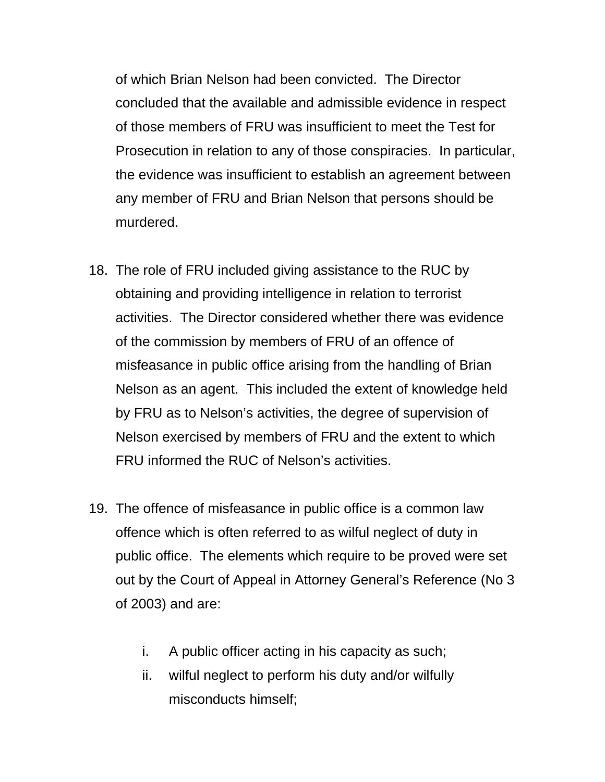of which Brian Nelson had been convicted. The Director concluded that the available and admissible evidence in respect of those members of FRU was insufficient to meet the Test for Prosecution in relation to any of those conspiracies. In particular, the evidence was insufficient to establish an agreement between any member of FRU and Brian Nelson that persons should be murdered.

- 18. The role of FRU included giving assistance to the RUC by obtaining and providing intelligence in relation to terrorist activities. The Director considered whether there was evidence of the commission by members of FRU of an offence of misfeasance in public office arising from the handling of Brian Nelson as an agent. This included the extent of knowledge held by FRU as to Nelson's activities, the degree of supervision of Nelson exercised by members of FRU and the extent to which FRU informed the RUC of Nelson's activities.
- 19. The offence of misfeasance in public office is a common law offence which is often referred to as wilful neglect of duty in public office. The elements which require to be proved were set out by the Court of Appeal in Attorney General's Reference (No 3 of 2003) and are:
	- i. A public officer acting in his capacity as such;
	- ii. wilful neglect to perform his duty and/or wilfully misconducts himself;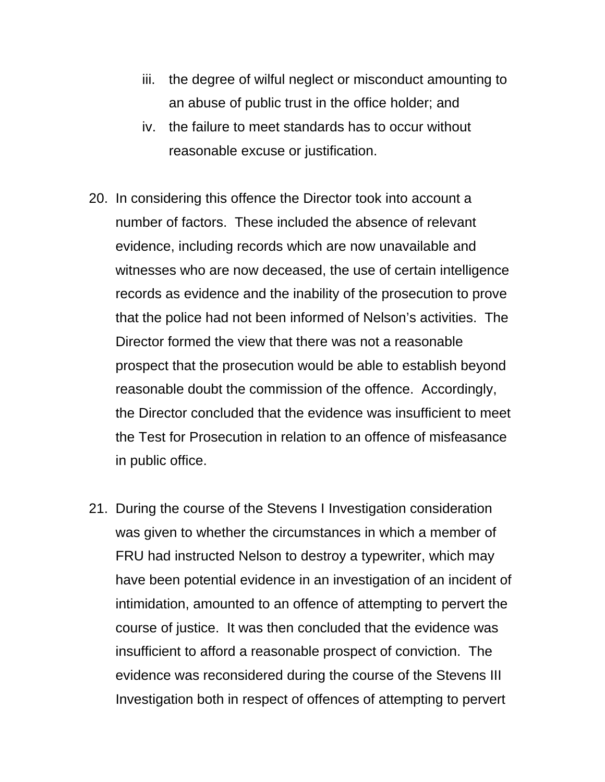- iii. the degree of wilful neglect or misconduct amounting to an abuse of public trust in the office holder; and
- iv. the failure to meet standards has to occur without reasonable excuse or justification.
- 20. In considering this offence the Director took into account a number of factors. These included the absence of relevant evidence, including records which are now unavailable and witnesses who are now deceased, the use of certain intelligence records as evidence and the inability of the prosecution to prove that the police had not been informed of Nelson's activities. The Director formed the view that there was not a reasonable prospect that the prosecution would be able to establish beyond reasonable doubt the commission of the offence. Accordingly, the Director concluded that the evidence was insufficient to meet the Test for Prosecution in relation to an offence of misfeasance in public office.
- 21. During the course of the Stevens I Investigation consideration was given to whether the circumstances in which a member of FRU had instructed Nelson to destroy a typewriter, which may have been potential evidence in an investigation of an incident of intimidation, amounted to an offence of attempting to pervert the course of justice. It was then concluded that the evidence was insufficient to afford a reasonable prospect of conviction. The evidence was reconsidered during the course of the Stevens III Investigation both in respect of offences of attempting to pervert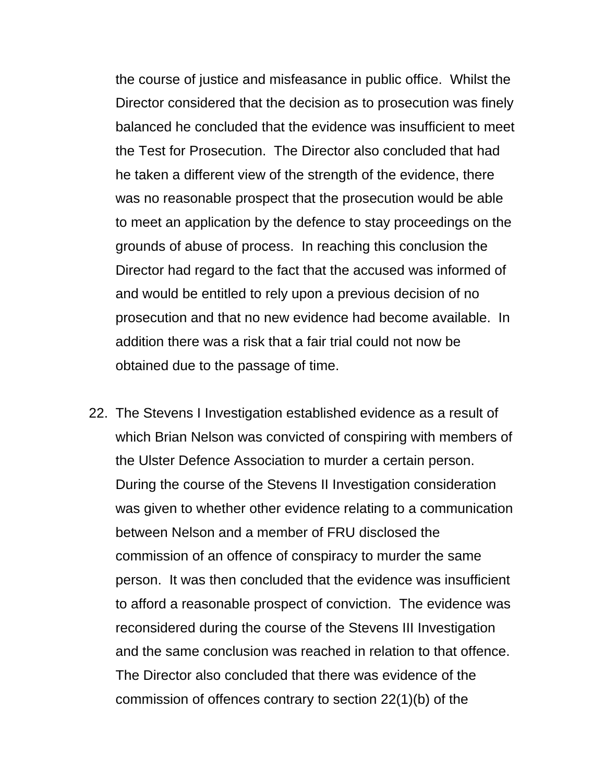the course of justice and misfeasance in public office. Whilst the Director considered that the decision as to prosecution was finely balanced he concluded that the evidence was insufficient to meet the Test for Prosecution. The Director also concluded that had he taken a different view of the strength of the evidence, there was no reasonable prospect that the prosecution would be able to meet an application by the defence to stay proceedings on the grounds of abuse of process. In reaching this conclusion the Director had regard to the fact that the accused was informed of and would be entitled to rely upon a previous decision of no prosecution and that no new evidence had become available. In addition there was a risk that a fair trial could not now be obtained due to the passage of time.

22. The Stevens I Investigation established evidence as a result of which Brian Nelson was convicted of conspiring with members of the Ulster Defence Association to murder a certain person. During the course of the Stevens II Investigation consideration was given to whether other evidence relating to a communication between Nelson and a member of FRU disclosed the commission of an offence of conspiracy to murder the same person. It was then concluded that the evidence was insufficient to afford a reasonable prospect of conviction. The evidence was reconsidered during the course of the Stevens III Investigation and the same conclusion was reached in relation to that offence. The Director also concluded that there was evidence of the commission of offences contrary to section 22(1)(b) of the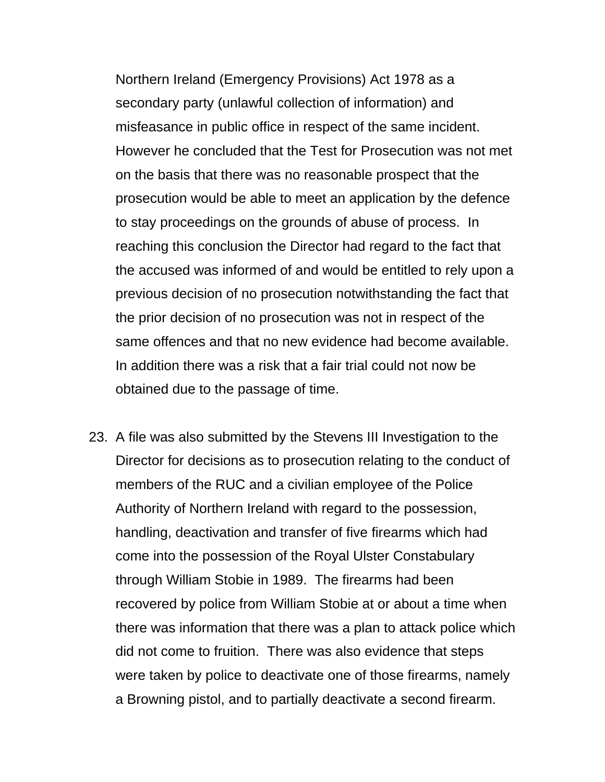Northern Ireland (Emergency Provisions) Act 1978 as a secondary party (unlawful collection of information) and misfeasance in public office in respect of the same incident. However he concluded that the Test for Prosecution was not met on the basis that there was no reasonable prospect that the prosecution would be able to meet an application by the defence to stay proceedings on the grounds of abuse of process. In reaching this conclusion the Director had regard to the fact that the accused was informed of and would be entitled to rely upon a previous decision of no prosecution notwithstanding the fact that the prior decision of no prosecution was not in respect of the same offences and that no new evidence had become available. In addition there was a risk that a fair trial could not now be obtained due to the passage of time.

23. A file was also submitted by the Stevens III Investigation to the Director for decisions as to prosecution relating to the conduct of members of the RUC and a civilian employee of the Police Authority of Northern Ireland with regard to the possession, handling, deactivation and transfer of five firearms which had come into the possession of the Royal Ulster Constabulary through William Stobie in 1989. The firearms had been recovered by police from William Stobie at or about a time when there was information that there was a plan to attack police which did not come to fruition. There was also evidence that steps were taken by police to deactivate one of those firearms, namely a Browning pistol, and to partially deactivate a second firearm.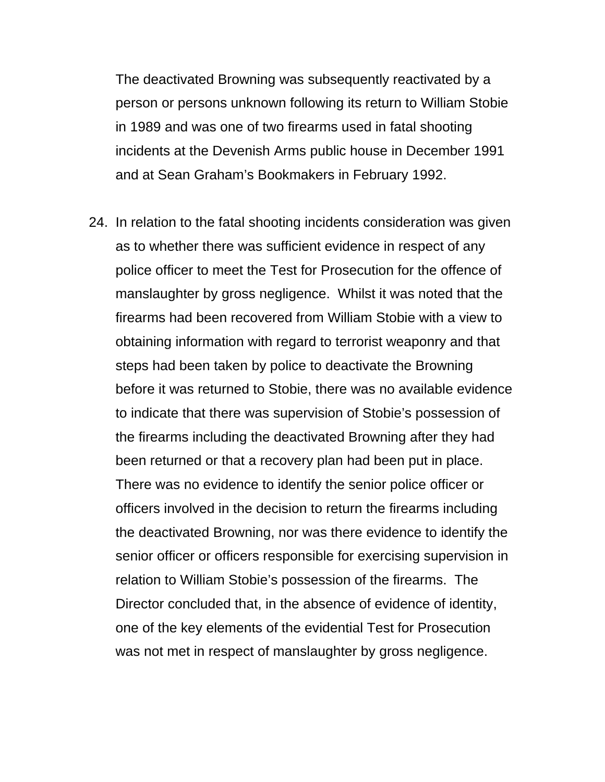The deactivated Browning was subsequently reactivated by a person or persons unknown following its return to William Stobie in 1989 and was one of two firearms used in fatal shooting incidents at the Devenish Arms public house in December 1991 and at Sean Graham's Bookmakers in February 1992.

24. In relation to the fatal shooting incidents consideration was given as to whether there was sufficient evidence in respect of any police officer to meet the Test for Prosecution for the offence of manslaughter by gross negligence. Whilst it was noted that the firearms had been recovered from William Stobie with a view to obtaining information with regard to terrorist weaponry and that steps had been taken by police to deactivate the Browning before it was returned to Stobie, there was no available evidence to indicate that there was supervision of Stobie's possession of the firearms including the deactivated Browning after they had been returned or that a recovery plan had been put in place. There was no evidence to identify the senior police officer or officers involved in the decision to return the firearms including the deactivated Browning, nor was there evidence to identify the senior officer or officers responsible for exercising supervision in relation to William Stobie's possession of the firearms. The Director concluded that, in the absence of evidence of identity, one of the key elements of the evidential Test for Prosecution was not met in respect of manslaughter by gross negligence.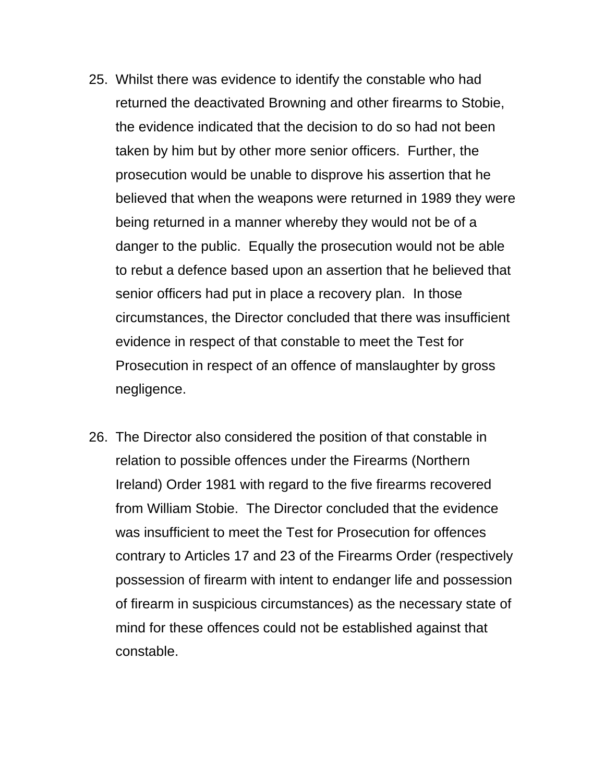- 25. Whilst there was evidence to identify the constable who had returned the deactivated Browning and other firearms to Stobie, the evidence indicated that the decision to do so had not been taken by him but by other more senior officers. Further, the prosecution would be unable to disprove his assertion that he believed that when the weapons were returned in 1989 they were being returned in a manner whereby they would not be of a danger to the public. Equally the prosecution would not be able to rebut a defence based upon an assertion that he believed that senior officers had put in place a recovery plan. In those circumstances, the Director concluded that there was insufficient evidence in respect of that constable to meet the Test for Prosecution in respect of an offence of manslaughter by gross negligence.
- 26. The Director also considered the position of that constable in relation to possible offences under the Firearms (Northern Ireland) Order 1981 with regard to the five firearms recovered from William Stobie. The Director concluded that the evidence was insufficient to meet the Test for Prosecution for offences contrary to Articles 17 and 23 of the Firearms Order (respectively possession of firearm with intent to endanger life and possession of firearm in suspicious circumstances) as the necessary state of mind for these offences could not be established against that constable.